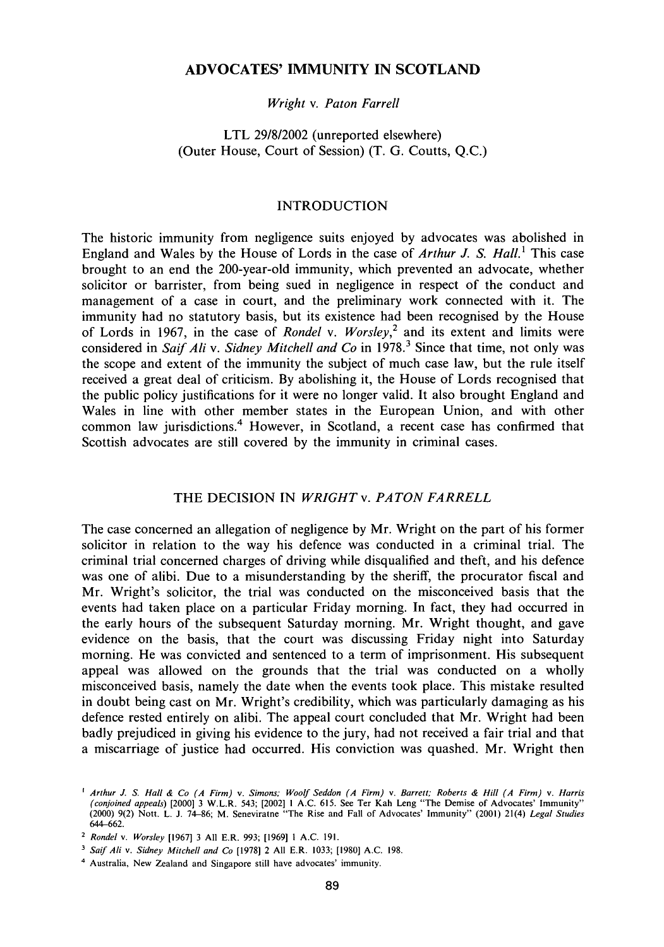## **ADVOCATES' IMMUNITY IN SCOTLAND**

## *Wright* v. *Paton Farrell*

# LTL 29/8/2002 (unreported elsewhere) (Outer House, Court of Session) (T. G. Coutts, Q.C.)

## INTRODUCTION

The historic immunity from negligence suits enjoyed by advocates was abolished in England and Wales by the House of Lords in the case of *Arthur J. S. Hall.*' This case brought to an end the 200-year-old immunity, which prevented an advocate, whether solicitor or barrister, from being sued in negligence in respect of the conduct and management of a case in court, and the preliminary work connected with it. The immunity had no statutory basis, but its existence had been recognised by the House of Lords in 1967, in the case of *Rondel* v. *Worsley,<sup>2</sup>* and its extent and limits were considered in Saif Ali v. Sidney Mitchell and Co in 1978.<sup>3</sup> Since that time, not only was the scope and extent of the immunity the subject of much case law, but the rule itself received a great deal of criticism. By abolishing it, the House of Lords recognised that the public policy justifications for it were no longer valid. It also brought England and Wales in line with other member states in the European Union, and with other common law jurisdictions.<sup>4</sup> However, in Scotland, a recent case has confirmed that Scottish advocates are still covered by the immunity in criminal cases.

## THE DECISION IN WRIGHT v. PATON FARRELL

The case concerned an allegation of negligence by Mr. Wright on the part of his former solicitor in relation to the way his defence was conducted in a criminal trial. The criminal trial concerned charges of driving while disqualified and theft, and his defence was one of alibi. Due to a misunderstanding by the sheriff, the procurator fiscal and Mr. Wright's solicitor, the trial was conducted on the misconceived basis that the events had taken place on a particular Friday morning. In fact, they had occurred in the early hours of the subsequent Saturday morning. Mr. Wright thought, and gave evidence on the basis, that the court was discussing Friday night into Saturday morning. He was convicted and sentenced to a term of imprisonment. His subsequent appeal was allowed on the grounds that the trial was conducted on a wholly misconceived basis, namely the date when the events took place. This mistake resulted in doubt being cast on Mr. Wright's credibility, which was particularly damaging as his defence rested entirely on alibi. The appeal court concluded that Mr. Wright had been badly prejudiced in giving his evidence to the jury, had not received a fair trial and that a miscarriage of justice had occurred. His conviction was quashed. Mr. Wright then

<sup>1</sup>  *Arthur J. S. Hall & Co (A Firm)* v. *Simons; Woolf Seddon (A Firm)* v. *Barrett; Roberts & Hill (A Firm)* v. *Harris*  (conjoined appeals) [2000] 3 W.L.R. 543; [2002] 1 A.C. 615. See Ter Kah Leng "The Demise of Advocates' Immunity"<br>(2000) 9(2) Nott. L. J. 74–86; M. Seneviratne "The Rise and Fall of Advocates' Immunity" (2001) 21(4) *Legal* 644-662.

<sup>2</sup>  *Rondel* v. *Worsley* [1967] 3 All E.R. 993; [1969] 1 A.C. 191.

<sup>3</sup>  *Saif Ali* v. *Sidney Mitchell and Co* [1978] 2 All E.R. 1033; [1980] A.C. 198.

<sup>4</sup> Australia, New Zealand and Singapore still have advocates' immunity.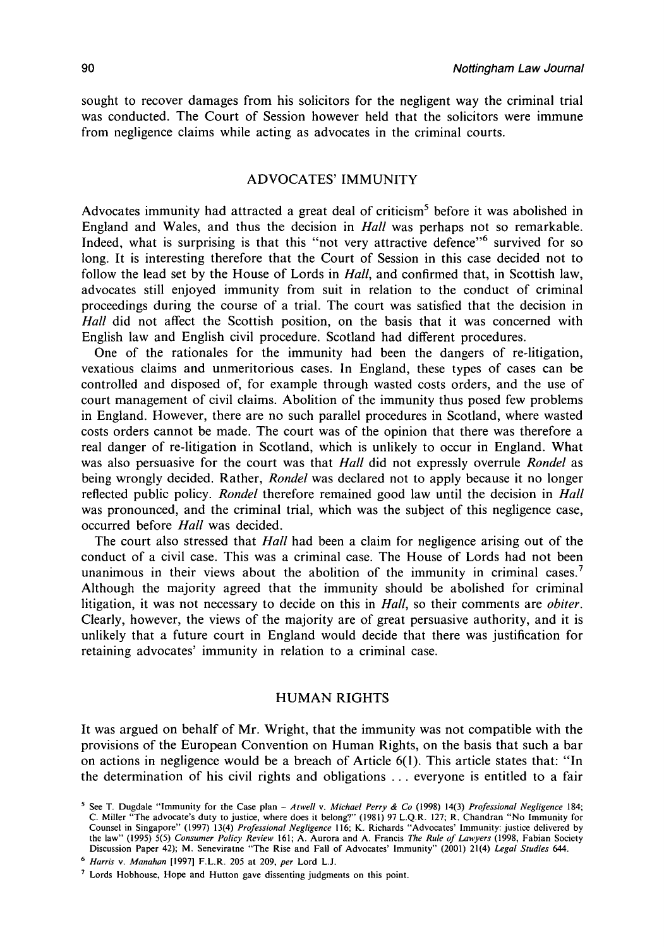sought to recover damages from his solicitors for the negligent way the criminal trial was conducted. The Court of Session however held that the solicitors were immune from negligence claims while acting as advocates in the criminal courts.

## ADVOCATES' IMMUNITY

Advocates immunity had attracted a great deal of criticism<sup>5</sup> before it was abolished in England and Wales, and thus the decision in *Hall* was perhaps not so remarkable. Indeed, what is surprising is that this "not very attractive defence"<sup>6</sup> survived for so long. It is interesting therefore that the Court of Session in this case decided not to follow the lead set by the House of Lords in *Hall,* and confirmed that, in Scottish law, advocates still enjoyed immunity from suit in relation to the conduct of criminal proceedings during the course of a trial. The court was satisfied that the decision in *Hall* did not affect the Scottish position, on the basis that it was concerned with English law and English civil procedure. Scotland had different procedures.

One of the rationales for the immunity had been the dangers of re-litigation, vexatious claims and unmeritorious cases. In England, these types of cases can be controlled and disposed of, for example through wasted costs orders, and the use of court management of civil claims. Abolition of the immunity thus posed few problems in England. However, there are no such parallel procedures in Scotland, where wasted costs orders cannot be made. The court was of the opinion that there was therefore a real danger of re-litigation in Scotland, which is unlikely to occur in England. What was also persuasive for the court was that *Hall* did not expressly overrule *Rondel* as being wrongly decided. Rather, *Rondel* was declared not to apply because it no longer reflected public policy. *Rondel* therefore remained good law until the decision in *Hall*  was pronounced, and the criminal trial, which was the subject of this negligence case, occurred before *Hall* was decided.

The court also stressed that *Hall* had been a claim for negligence arising out of the conduct of a civil case. This was a criminal case. The House of Lords had not been unanimous in their views about the abolition of the immunity in criminal cases.<sup>7</sup> Although the majority agreed that the immunity should be abolished for criminal litigation, it was not necessary to decide on this in *Hall,* so their comments are *obiter.*  Clearly, however, the views of the majority are of great persuasive authority, and it is unlikely that a future court in England would decide that there was justification for retaining advocates' immunity in relation to a criminal case.

### **HUMAN RIGHTS**

It was argued on behalf of Mr. Wright, that the immunity was not compatible with the provisions of the European Convention on Human Rights, on the basis that such a bar on actions in negligence would be a breach of Article 6(1). This article states that: "In the determination of his civil rights and obligations .. . everyone is entitled to a fair

<sup>5</sup> See T. Dugdale "Immunity for the Case plan - *Atwell* v. *Michael Perry & Co* (1998) 14(3) *Professional Negligence* 184; C. Miller "The advocate's duty to justice, where does it belong?" (1981) 97 L.Q.R. 127; R. Chandran "No Immunity for Counsel in Singapore" (1997) 13(4) *Professional Negligence* 116; K. Richards "Advocates' Immunity: justice delivered by<br>the law" (1995) 5(5) *Consumer Policy Review* 161; A. Aurora and A. Francis *The Rule of Lawyers* (19 Discussion Paper 42); M . Seneviratne "The Rise and Fall of Advocates' Immunity" (2001) 21(4) *Legal Studies* 644.

<sup>6</sup>  *Harris* v. *Manahan* [1997] F.L.R. 205 at 209, *per* Lord L.J.

<sup>&</sup>lt;sup>7</sup> Lords Hobhouse, Hope and Hutton gave dissenting judgments on this point.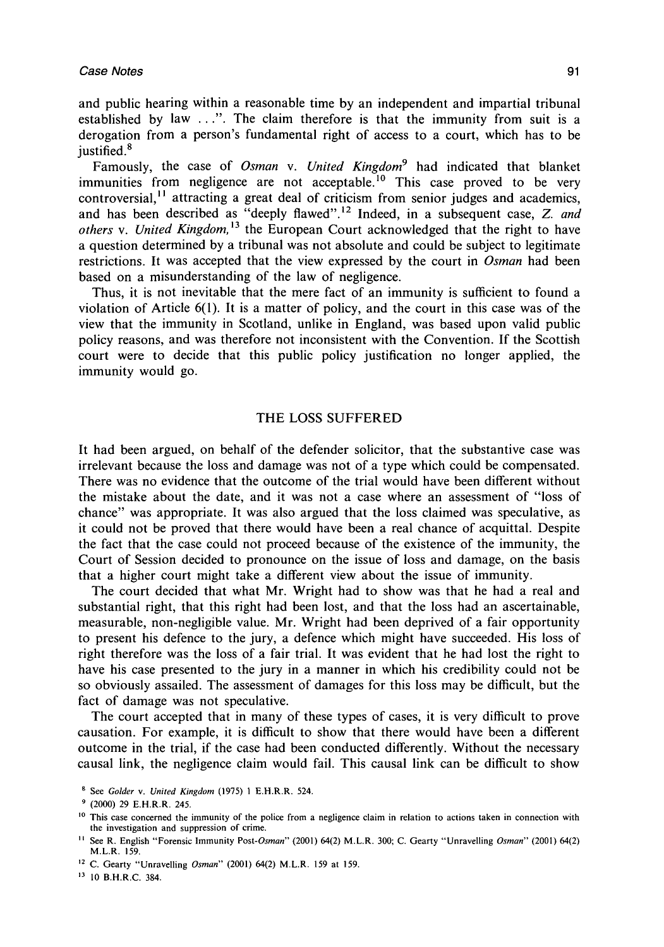and public hearing within a reasonable time by an independent and impartial tribunal established by law . ..". The claim therefore is that the immunity from suit is a derogation from a person's fundamental right of access to a court, which has to be justified.<sup>8</sup>

Famously, the case of *Osman* v. *United Kingdom<sup>9</sup>* had indicated that blanket immunities from negligence are not acceptable.<sup>10</sup> This case proved to be very controversial,<sup>11</sup> attracting a great deal of criticism from senior judges and academics, and has been described as "deeply flawed".<sup>12</sup> Indeed, in a subsequent case, Z. *and others* v. *United Kingdom,<sup>13</sup>* the European Court acknowledged that the right to have a question determined by a tribunal was not absolute and could be subject to legitimate restrictions. It was accepted that the view expressed by the court in *Osman* had been based on a misunderstanding of the law of negligence.

Thus, it is not inevitable that the mere fact of an immunity is sufficient to found a violation of Article 6(1). It is a matter of policy, and the court in this case was of the view that the immunity in Scotland, unlike in England, was based upon valid public policy reasons, and was therefore not inconsistent with the Convention. If the Scottish court were to decide that this public policy justification no longer applied, the immunity would go.

### THE LOSS SUFFERED

It had been argued, on behalf of the defender solicitor, that the substantive case was irrelevant because the loss and damage was not of a type which could be compensated. There was no evidence that the outcome of the trial would have been different without the mistake about the date, and it was not a case where an assessment of "loss of chance" was appropriate. It was also argued that the loss claimed was speculative, as it could not be proved that there would have been a real chance of acquittal. Despite the fact that the case could not proceed because of the existence of the immunity, the Court of Session decided to pronounce on the issue of loss and damage, on the basis that a higher court might take a different view about the issue of immunity.

The court decided that what Mr. Wright had to show was that he had a real and substantial right, that this right had been lost, and that the loss had an ascertainable, measurable, non-negligible value. Mr. Wright had been deprived of a fair opportunity to present his defence to the jury, a defence which might have succeeded. His loss of right therefore was the loss of a fair trial. It was evident that he had lost the right to have his case presented to the jury in a manner in which his credibility could not be so obviously assailed. The assessment of damages for this loss may be difficult, but the fact of damage was not speculative.

The court accepted that in many of these types of cases, it is very difficult to prove causation. For example, it is difficult to show that there would have been a different outcome in the trial, if the case had been conducted differently. Without the necessary causal link, the negligence claim would fail. This causal link can be difficult to show

13 10 B.H.R.C. 384.

<sup>8</sup> See *Colder* v. *United Kingdom* (1975) 1 E.H.R.R. 524.

<sup>9</sup> (2000) 29 E.H.R.R. 245.

<sup>&</sup>lt;sup>10</sup> This case concerned the immunity of the police from a negligence claim in relation to actions taken in connection with the investigation and suppression of crime.

<sup>11</sup> See R. English "Forensic Immunity *Post-Osman"* (2001) 64(2) M.L.R. 300; C. Gearty "Unravelling *Osman"* (2001) 64(2) M.L.R. 159.

<sup>12</sup> C. Gearty "Unravelling *Osman"* (2001) 64(2) M.L.R. 159 at 159.